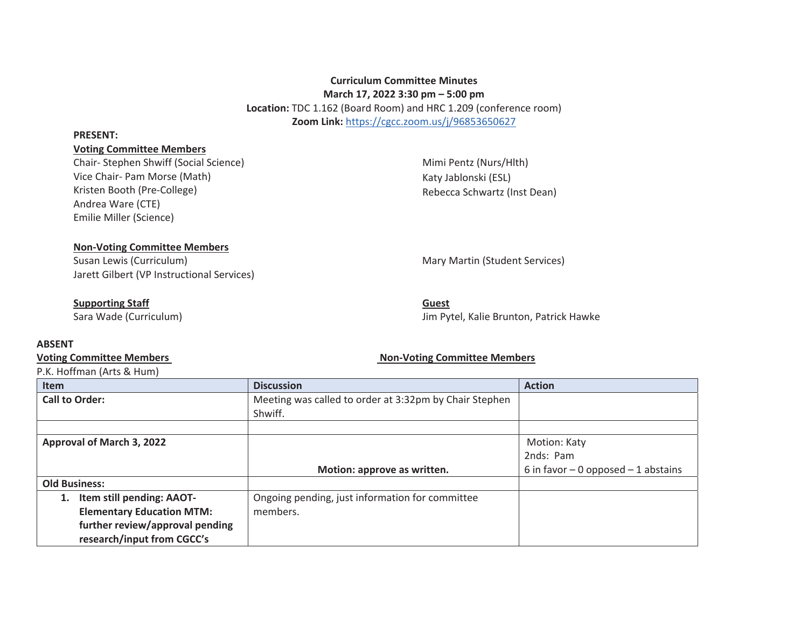# **Curriculum Committee Minutes March 17, 2022 3:30 pm – 5:00 pm**

**Location:** TDC 1.162 (Board Room) and HRC 1.209 (conference room) **Zoom Link:** https://cgcc.zoom.us/j/96853650627

#### **PRESENT:**

#### **Voting Committee Members**

Chair- Stephen Shwiff (Social Science) Vice Chair- Pam Morse (Math) Kristen Booth (Pre-College) Andrea Ware (CTE) Emilie Miller (Science)

Mimi Pentz (Nurs/Hlth) Katy Jablonski (ESL) Rebecca Schwartz (Inst Dean)

## **Non-Voting Committee Members**

Susan Lewis (Curriculum) and Martin (Student Services) and Martin (Student Services) Jarett Gilbert (VP Instructional Services)

## **Supporting Staff**

Sara Wade (Curriculum)

# **Guest**

Jim Pytel, Kalie Brunton, Patrick Hawke

## **ABSENT**

# Voting Committee Members **Non-Voting Committee Members** Non-Voting Committee Members

P.K. Hoffman (Arts & Hum)

#### **Item Biscussion Action Action Action Action** Action Action Action Action Action Action Action Action Action Action Action Action Action Action Action Action Action Action Action Action Action Action Action Action Action A **Action Call to Order: Meeting was called to order at 3:32pm by Chair Stephen** Shwiff. **Approval of March 3, 2022 Motion: approve as written.**  Motion: Katy 2nds: Pam 6 in favor  $-0$  opposed  $-1$  abstains **Old Business: 1. Item still pending: AAOT-Elementary Education MTM: further review/approval pending research/input from CGCC's**  Ongoing pending, just information for committee members.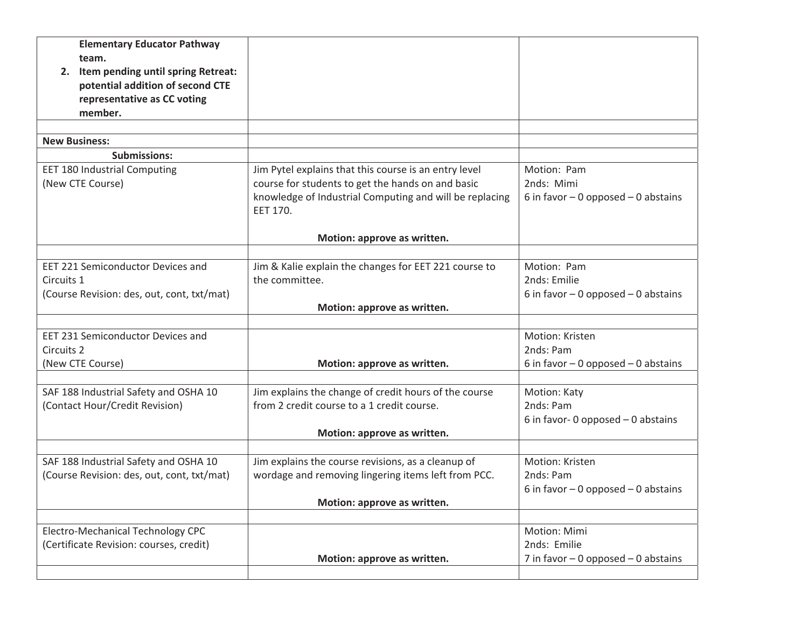| <b>Elementary Educator Pathway</b>         |                                                                     |                                       |
|--------------------------------------------|---------------------------------------------------------------------|---------------------------------------|
| team.                                      |                                                                     |                                       |
| 2. Item pending until spring Retreat:      |                                                                     |                                       |
| potential addition of second CTE           |                                                                     |                                       |
| representative as CC voting                |                                                                     |                                       |
| member.                                    |                                                                     |                                       |
| <b>New Business:</b>                       |                                                                     |                                       |
| <b>Submissions:</b>                        |                                                                     |                                       |
| <b>EET 180 Industrial Computing</b>        |                                                                     | Motion: Pam                           |
|                                            | Jim Pytel explains that this course is an entry level               |                                       |
| (New CTE Course)                           | course for students to get the hands on and basic                   | 2nds: Mimi                            |
|                                            | knowledge of Industrial Computing and will be replacing<br>EET 170. | 6 in favor $-0$ opposed $-0$ abstains |
|                                            | Motion: approve as written.                                         |                                       |
|                                            |                                                                     |                                       |
| EET 221 Semiconductor Devices and          | Jim & Kalie explain the changes for EET 221 course to               | Motion: Pam                           |
| Circuits 1                                 | the committee.                                                      | 2nds: Emilie                          |
| (Course Revision: des, out, cont, txt/mat) |                                                                     | 6 in favor $-0$ opposed $-0$ abstains |
|                                            | Motion: approve as written.                                         |                                       |
|                                            |                                                                     |                                       |
| <b>EET 231 Semiconductor Devices and</b>   |                                                                     | Motion: Kristen                       |
| Circuits 2                                 |                                                                     | 2nds: Pam                             |
| (New CTE Course)                           | Motion: approve as written.                                         | 6 in favor $-0$ opposed $-0$ abstains |
|                                            |                                                                     |                                       |
| SAF 188 Industrial Safety and OSHA 10      | Jim explains the change of credit hours of the course               | Motion: Katy                          |
| (Contact Hour/Credit Revision)             | from 2 credit course to a 1 credit course.                          | 2nds: Pam                             |
|                                            |                                                                     | 6 in favor- 0 opposed $-$ 0 abstains  |
|                                            | Motion: approve as written.                                         |                                       |
|                                            |                                                                     |                                       |
| SAF 188 Industrial Safety and OSHA 10      | Jim explains the course revisions, as a cleanup of                  | Motion: Kristen                       |
| (Course Revision: des, out, cont, txt/mat) | wordage and removing lingering items left from PCC.                 | 2nds: Pam                             |
|                                            |                                                                     | 6 in favor $-0$ opposed $-0$ abstains |
|                                            | Motion: approve as written.                                         |                                       |
|                                            |                                                                     |                                       |
| Electro-Mechanical Technology CPC          |                                                                     | Motion: Mimi                          |
| (Certificate Revision: courses, credit)    |                                                                     | 2nds: Emilie                          |
|                                            | Motion: approve as written.                                         | 7 in favor $-0$ opposed $-0$ abstains |
|                                            |                                                                     |                                       |